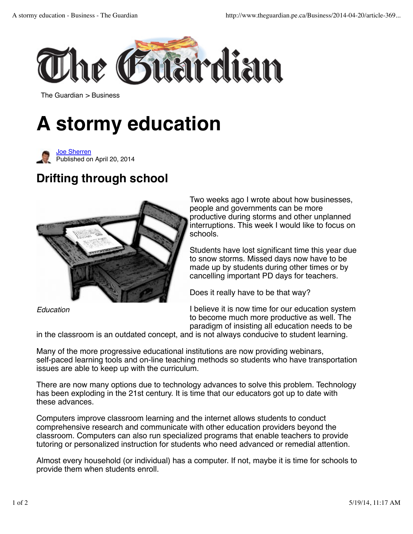

The Guardian > Business

## **A stormy education**



Published on April 20, 2014 Joe Sherren

## **Drifting through school**



Two weeks ago I wrote about how businesses, people and governments can be more productive during storms and other unplanned interruptions. This week I would like to focus on schools.

Students have lost significant time this year due to snow storms. Missed days now have to be made up by students during other times or by cancelling important PD days for teachers.

Does it really have to be that way?

I believe it is now time for our education system to become much more productive as well. The paradigm of insisting all education needs to be

in the classroom is an outdated concept, and is not always conducive to student learning.

Many of the more progressive educational institutions are now providing webinars, self-paced learning tools and on-line teaching methods so students who have transportation issues are able to keep up with the curriculum.

There are now many options due to technology advances to solve this problem. Technology has been exploding in the 21st century. It is time that our educators got up to date with these advances.

Computers improve classroom learning and the internet allows students to conduct comprehensive research and communicate with other education providers beyond the classroom. Computers can also run specialized programs that enable teachers to provide tutoring or personalized instruction for students who need advanced or remedial attention.

Almost every household (or individual) has a computer. If not, maybe it is time for schools to provide them when students enroll.

*Education*